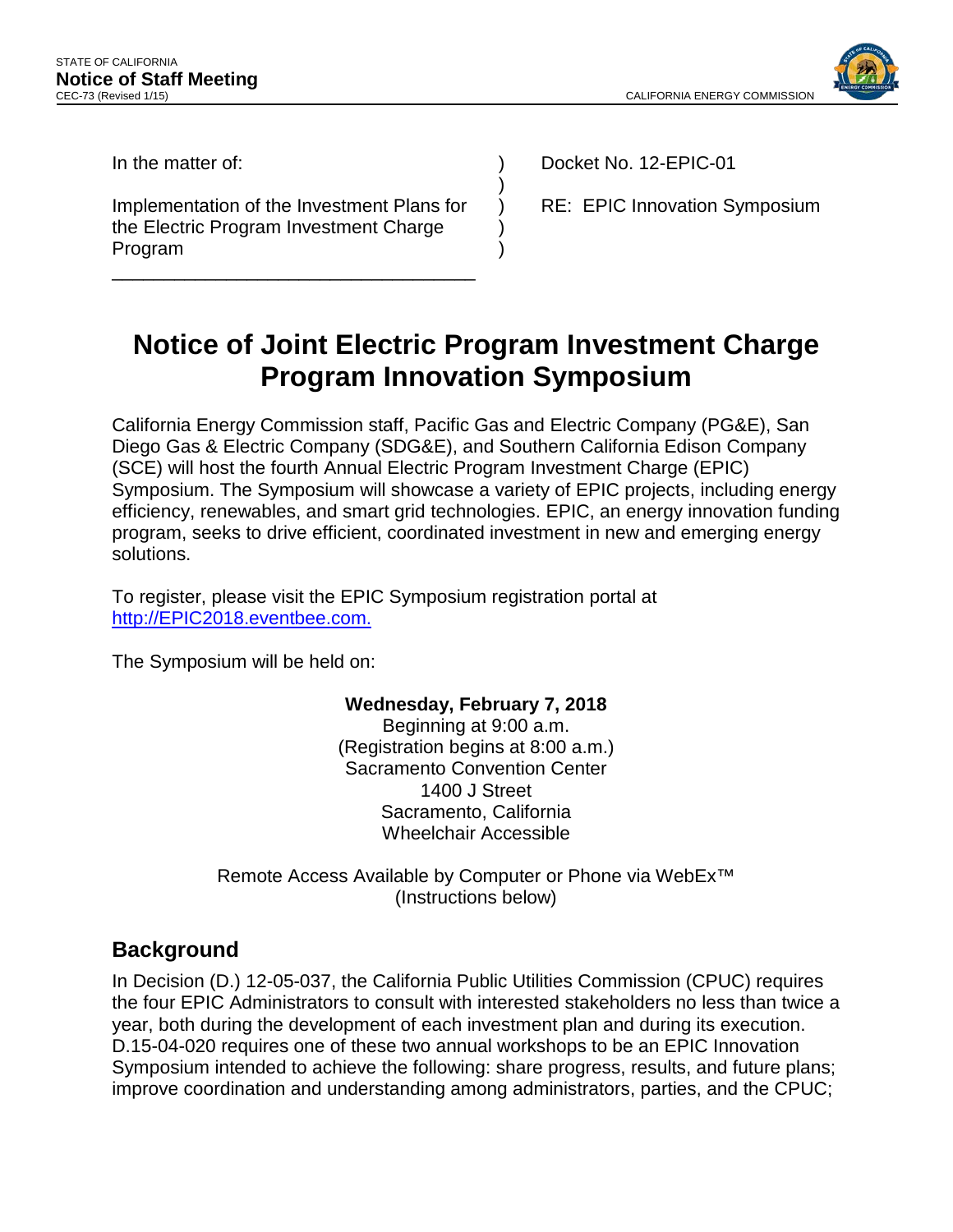

In the matter of:

 Implementation of the Investment Plans for the Electric Program Investment Charge Program

\_\_\_\_\_\_\_\_\_\_\_\_\_\_\_\_\_\_\_\_\_\_\_\_\_\_\_\_\_\_\_\_\_\_\_

Docket No. 12-EPIC-01

RE: EPIC Innovation Symposium

# **Notice of Joint Electric Program Investment Charge Program Innovation Symposium**

) ) ) ) )

California Energy Commission staff, Pacific Gas and Electric Company (PG&E), San Diego Gas & Electric Company (SDG&E), and Southern California Edison Company (SCE) will host the fourth Annual Electric Program Investment Charge (EPIC) Symposium. The Symposium will showcase a variety of EPIC projects, including energy efficiency, renewables, and smart grid technologies. EPIC, an energy innovation funding program, seeks to drive efficient, coordinated investment in new and emerging energy solutions.

 To register, please visit the EPIC Symposium registration portal at [http://EPIC2018.eventbee.com.](http://epic2018.eventbee.com/)

The Symposium will be held on:

### **Wednesday, February 7, 2018**

Beginning at 9:00 a.m. (Registration begins at 8:00 a.m.) Sacramento Convention Center 1400 J Street Sacramento, California Wheelchair Accessible

Remote Access Available by Computer or Phone via WebEx™ (Instructions below)

# **Background**

 the four EPIC Administrators to consult with interested stakeholders no less than twice a D.15-04-020 requires one of these two annual workshops to be an EPIC Innovation In Decision (D.) 12-05-037, the California Public Utilities Commission (CPUC) requires year, both during the development of each investment plan and during its execution. Symposium intended to achieve the following: share progress, results, and future plans; improve coordination and understanding among administrators, parties, and the CPUC;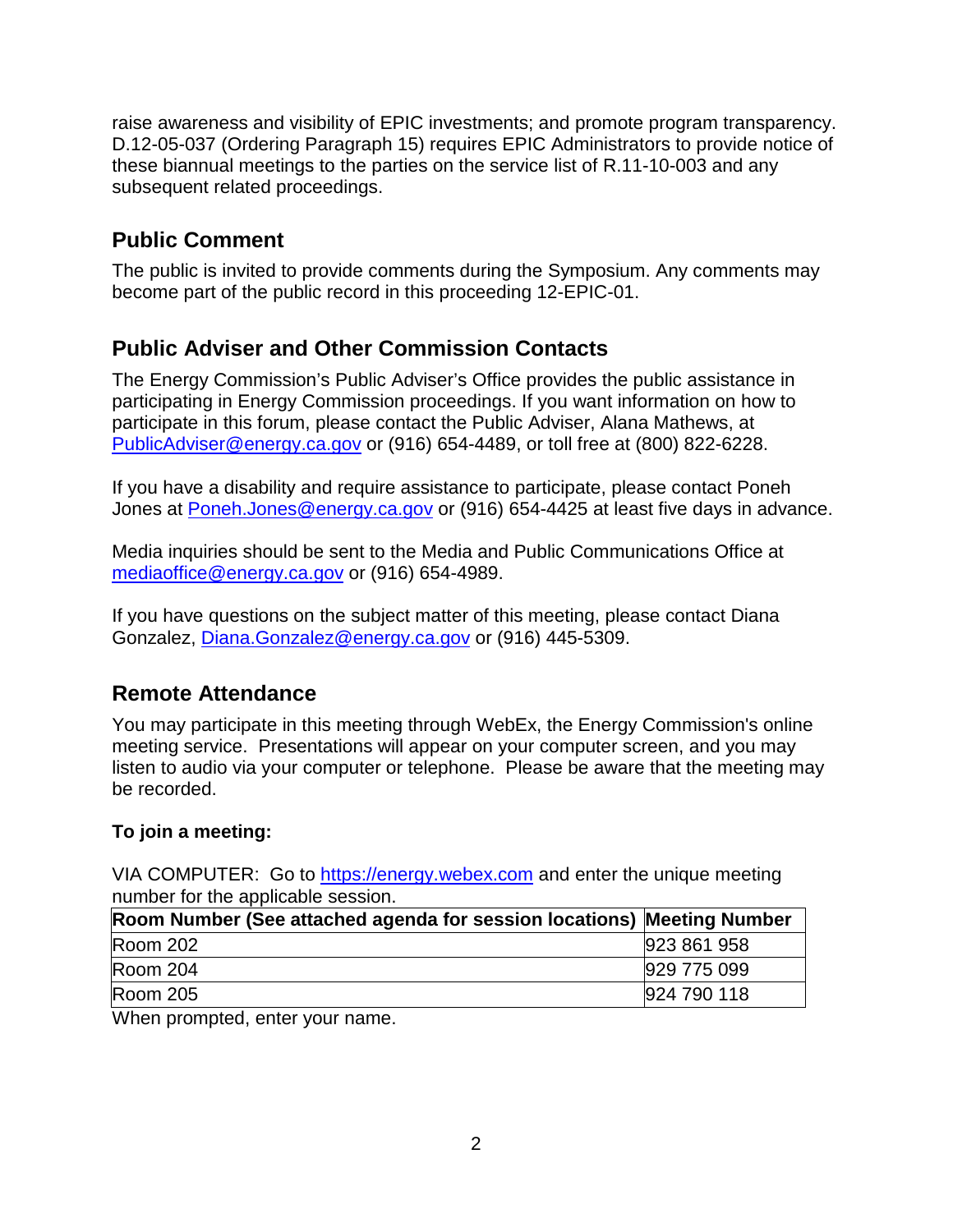raise awareness and visibility of EPIC investments; and promote program transparency. D.12-05-037 (Ordering Paragraph 15) requires EPIC Administrators to provide notice of these biannual meetings to the parties on the service list of R.11-10-003 and any subsequent related proceedings.

# **Public Comment**

 become part of the public record in this proceeding 12-EPIC-01. The public is invited to provide comments during the Symposium. Any comments may

# **Public Adviser and Other Commission Contacts**

 participating in Energy Commission proceedings. If you want information on how to participate in this forum, please contact the Public Adviser, Alana Mathews, at The Energy Commission's Public Adviser's Office provides the public assistance in [PublicAdviser@energy.ca.gov](mailto:PublicAdviser@energy.ca.gov) or (916) 654-4489, or toll free at (800) 822-6228.

 If you have a disability and require assistance to participate, please contact Poneh Jones at <u>Poneh.Jones@energy.ca.gov</u> or (916) 654-4425 at least five days in advance.

 Media inquiries should be sent to the Media and Public Communications Office at [mediaoffice@energy.ca.gov](mailto:mediaoffice@energy.ca.gov) or (916) 654-4989.

If you have questions on the subject matter of this meeting, please contact Diana Gonzalez, [Diana.Gonzalez@energy.ca.gov](mailto:Diana.Gonzalez@energy.ca.gov) or (916) 445-5309.

# **Remote Attendance**

 listen to audio via your computer or telephone. Please be aware that the meeting may You may participate in this meeting through WebEx, the Energy Commission's online meeting service. Presentations will appear on your computer screen, and you may be recorded.

#### **To join a meeting:**

VIA COMPUTER: Go to [https://energy.webex.com](https://energy.webex.com/) and enter the unique meeting number for the applicable session.

| Room Number (See attached agenda for session locations) Meeting Number |             |
|------------------------------------------------------------------------|-------------|
| Room 202                                                               | 923 861 958 |
| Room 204                                                               | 929 775 099 |
| Room 205                                                               | 924 790 118 |
|                                                                        |             |

When prompted, enter your name.